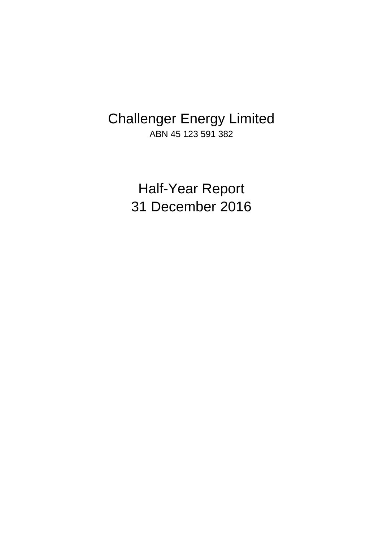# Challenger Energy Limited ABN 45 123 591 382

Half-Year Report 31 December 2016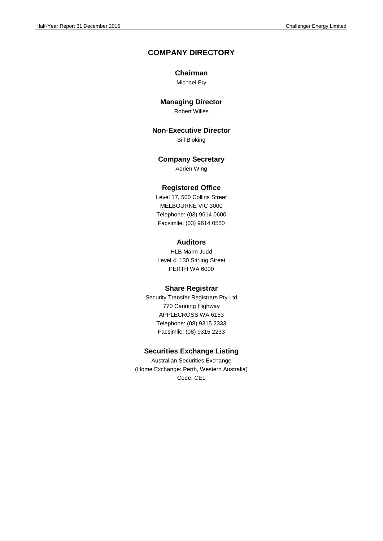### **COMPANY DIRECTORY**

### **Chairman**

Michael Fry

### **Managing Director**

Robert Willes

**Non-Executive Director**

Bill Bloking

### **Company Secretary**

Adrien Wing

### **Registered Office**

Level 17, 500 Collins Street MELBOURNE VIC 3000 Telephone: (03) 9614 0600 Facsimile: (03) 9614 0550

### **Auditors**

HLB Mann Judd Level 4, 130 Stirling Street PERTH WA 6000

### **Share Registrar**

Security Transfer Registrars Pty Ltd 770 Canning Highway APPLECROSS WA 6153 Telephone: (08) 9315 2333 Facsimile: (08) 9315 2233

### **Securities Exchange Listing**

Australian Securities Exchange (Home Exchange: Perth, Western Australia) Code: CEL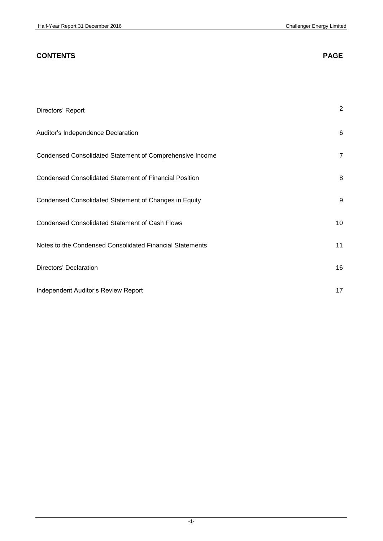| <b>CONTENTS</b>                                               | <b>PAGE</b>    |
|---------------------------------------------------------------|----------------|
|                                                               |                |
| Directors' Report                                             | $\overline{2}$ |
| Auditor's Independence Declaration                            | 6              |
| Condensed Consolidated Statement of Comprehensive Income      | $\overline{7}$ |
| <b>Condensed Consolidated Statement of Financial Position</b> | 8              |
| Condensed Consolidated Statement of Changes in Equity         | 9              |
| <b>Condensed Consolidated Statement of Cash Flows</b>         | 10             |
| Notes to the Condensed Consolidated Financial Statements      | 11             |
| Directors' Declaration                                        | 16             |
| Independent Auditor's Review Report                           | 17             |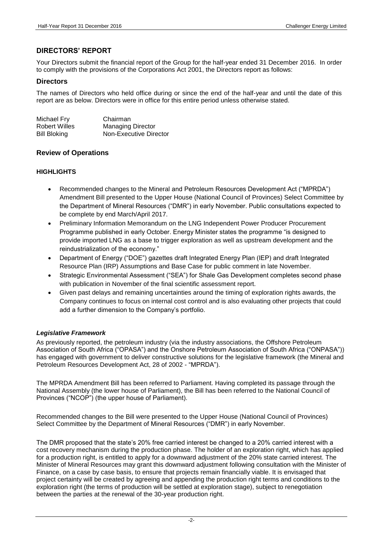### **DIRECTORS' REPORT**

Your Directors submit the financial report of the Group for the half-year ended 31 December 2016. In order to comply with the provisions of the Corporations Act 2001, the Directors report as follows:

### **Directors**

The names of Directors who held office during or since the end of the half-year and until the date of this report are as below. Directors were in office for this entire period unless otherwise stated.

| Michael Fry   | Chairman                 |
|---------------|--------------------------|
| Robert Willes | <b>Managing Director</b> |
| Bill Bloking  | Non-Executive Director   |

### **Review of Operations**

### **HIGHLIGHTS**

- Recommended changes to the Mineral and Petroleum Resources Development Act ("MPRDA") Amendment Bill presented to the Upper House (National Council of Provinces) Select Committee by the Department of Mineral Resources ("DMR") in early November. Public consultations expected to be complete by end March/April 2017.
- Preliminary Information Memorandum on the LNG Independent Power Producer Procurement Programme published in early October. Energy Minister states the programme "is designed to provide imported LNG as a base to trigger exploration as well as upstream development and the reindustrialization of the economy."
- Department of Energy ("DOE") gazettes draft Integrated Energy Plan (IEP) and draft Integrated Resource Plan (IRP) Assumptions and Base Case for public comment in late November.
- Strategic Environmental Assessment ("SEA") for Shale Gas Development completes second phase with publication in November of the final scientific assessment report.
- Given past delays and remaining uncertainties around the timing of exploration rights awards, the Company continues to focus on internal cost control and is also evaluating other projects that could add a further dimension to the Company's portfolio.

### *Legislative Framework*

As previously reported, the petroleum industry (via the industry associations, the Offshore Petroleum Association of South Africa ("OPASA") and the Onshore Petroleum Association of South Africa ("ONPASA")) has engaged with government to deliver constructive solutions for the legislative framework (the Mineral and Petroleum Resources Development Act, 28 of 2002 - "MPRDA").

The MPRDA Amendment Bill has been referred to Parliament. Having completed its passage through the National Assembly (the lower house of Parliament), the Bill has been referred to the National Council of Provinces ("NCOP") (the upper house of Parliament).

Recommended changes to the Bill were presented to the Upper House (National Council of Provinces) Select Committee by the Department of Mineral Resources ("DMR") in early November.

The DMR proposed that the state's 20% free carried interest be changed to a 20% carried interest with a cost recovery mechanism during the production phase. The holder of an exploration right, which has applied for a production right, is entitled to apply for a downward adjustment of the 20% state carried interest. The Minister of Mineral Resources may grant this downward adjustment following consultation with the Minister of Finance, on a case by case basis, to ensure that projects remain financially viable. It is envisaged that project certainty will be created by agreeing and appending the production right terms and conditions to the exploration right (the terms of production will be settled at exploration stage), subject to renegotiation between the parties at the renewal of the 30-year production right.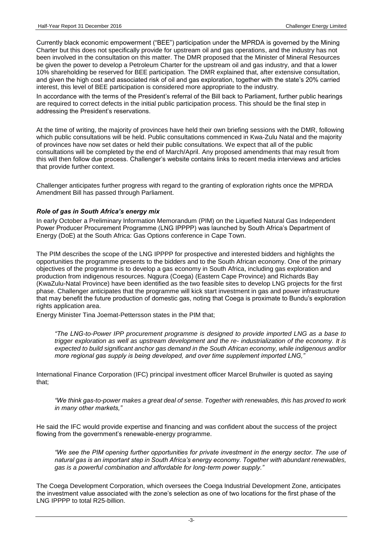Currently black economic empowerment ("BEE") participation under the MPRDA is governed by the Mining Charter but this does not specifically provide for upstream oil and gas operations, and the industry has not been involved in the consultation on this matter. The DMR proposed that the Minister of Mineral Resources be given the power to develop a Petroleum Charter for the upstream oil and gas industry, and that a lower 10% shareholding be reserved for BEE participation. The DMR explained that, after extensive consultation, and given the high cost and associated risk of oil and gas exploration, together with the state's 20% carried interest, this level of BEE participation is considered more appropriate to the industry.

In accordance with the terms of the President's referral of the Bill back to Parliament, further public hearings are required to correct defects in the initial public participation process. This should be the final step in addressing the President's reservations.

At the time of writing, the majority of provinces have held their own briefing sessions with the DMR, following which public consultations will be held. Public consultations commenced in Kwa-Zulu Natal and the majority of provinces have now set dates or held their public consultations. We expect that all of the public consultations will be completed by the end of March/April. Any proposed amendments that may result from this will then follow due process. Challenger's website contains links to recent media interviews and articles that provide further context.

Challenger anticipates further progress with regard to the granting of exploration rights once the MPRDA Amendment Bill has passed through Parliament.

### *Role of gas in South Africa's energy mix*

In early October a Preliminary Information Memorandum (PIM) on the Liquefied Natural Gas Independent Power Producer Procurement Programme (LNG IPPPP) was launched by South Africa's Department of Energy (DoE) at the South Africa: Gas Options conference in Cape Town.

The PIM describes the scope of the LNG IPPPP for prospective and interested bidders and highlights the opportunities the programme presents to the bidders and to the South African economy. One of the primary objectives of the programme is to develop a gas economy in South Africa, including gas exploration and production from indigenous resources. Nqgura (Coega) (Eastern Cape Province) and Richards Bay (KwaZulu-Natal Province) have been identified as the two feasible sites to develop LNG projects for the first phase. Challenger anticipates that the programme will kick start investment in gas and power infrastructure that may benefit the future production of domestic gas, noting that Coega is proximate to Bundu's exploration rights application area.

Energy Minister Tina Joemat-Pettersson states in the PIM that;

*"The LNG-to-Power IPP procurement programme is designed to provide imported LNG as a base to trigger exploration as well as upstream development and the re- industrialization of the economy. It is expected to build significant anchor gas demand in the South African economy, while indigenous and/or more regional gas supply is being developed, and over time supplement imported LNG,"* 

International Finance Corporation (IFC) principal investment officer Marcel Bruhwiler is quoted as saying that;

*"We think gas-to-power makes a great deal of sense. Together with renewables, this has proved to work in many other markets,"* 

He said the IFC would provide expertise and financing and was confident about the success of the project flowing from the government's renewable-energy programme.

*"We see the PIM opening further opportunities for private investment in the energy sector. The use of natural gas is an important step in South Africa's energy economy. Together with abundant renewables, gas is a powerful combination and affordable for long-term power supply."* 

The Coega Development Corporation, which oversees the Coega Industrial Development Zone, anticipates the investment value associated with the zone's selection as one of two locations for the first phase of the LNG IPPPP to total R25-billion.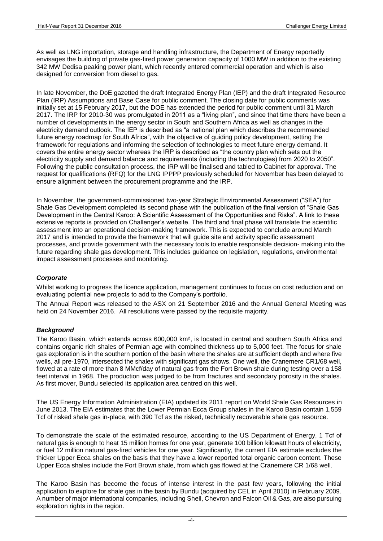As well as LNG importation, storage and handling infrastructure, the Department of Energy reportedly envisages the building of private gas-fired power generation capacity of 1000 MW in addition to the existing 342 MW Dedisa peaking power plant, which recently entered commercial operation and which is also designed for conversion from diesel to gas.

In late November, the DoE gazetted the draft Integrated Energy Plan (IEP) and the draft Integrated Resource Plan (IRP) Assumptions and Base Case for public comment. The closing date for public comments was initially set at 15 February 2017, but the DOE has extended the period for public comment until 31 March 2017. The IRP for 2010-30 was promulgated in 2011 as a "living plan", and since that time there have been a number of developments in the energy sector in South and Southern Africa as well as changes in the electricity demand outlook. The IEP is described as "a national plan which describes the recommended future energy roadmap for South Africa", with the objective of guiding policy development, setting the framework for regulations and informing the selection of technologies to meet future energy demand. It covers the entire energy sector whereas the IRP is described as "the country plan which sets out the electricity supply and demand balance and requirements (including the technologies) from 2020 to 2050". Following the public consultation process, the IRP will be finalised and tabled to Cabinet for approval. The request for qualifications (RFQ) for the LNG IPPPP previously scheduled for November has been delayed to ensure alignment between the procurement programme and the IRP.

In November, the government-commissioned two-year Strategic Environmental Assessment ("SEA") for Shale Gas Development completed its second phase with the publication of the final version of "Shale Gas Development in the Central Karoo: A Scientific Assessment of the Opportunities and Risks". A link to these extensive reports is provided on Challenger's website. The third and final phase will translate the scientific assessment into an operational decision-making framework. This is expected to conclude around March 2017 and is intended to provide the framework that will guide site and activity specific assessment processes, and provide government with the necessary tools to enable responsible decision- making into the future regarding shale gas development. This includes guidance on legislation, regulations, environmental impact assessment processes and monitoring.

### *Corporate*

Whilst working to progress the licence application, management continues to focus on cost reduction and on evaluating potential new projects to add to the Company's portfolio.

The Annual Report was released to the ASX on 21 September 2016 and the Annual General Meeting was held on 24 November 2016. All resolutions were passed by the requisite majority.

#### *Background*

The Karoo Basin, which extends across 600,000 km², is located in central and southern South Africa and contains organic rich shales of Permian age with combined thickness up to 5,000 feet. The focus for shale gas exploration is in the southern portion of the basin where the shales are at sufficient depth and where five wells, all pre-1970, intersected the shales with significant gas shows. One well, the Cranemere CR1/68 well, flowed at a rate of more than 8 MMcf/day of natural gas from the Fort Brown shale during testing over a 158 feet interval in 1968. The production was judged to be from fractures and secondary porosity in the shales. As first mover, Bundu selected its application area centred on this well.

The US Energy Information Administration (EIA) updated its 2011 report on World Shale Gas Resources in June 2013. The EIA estimates that the Lower Permian Ecca Group shales in the Karoo Basin contain 1,559 Tcf of risked shale gas in-place, with 390 Tcf as the risked, technically recoverable shale gas resource.

To demonstrate the scale of the estimated resource, according to the US Department of Energy, 1 Tcf of natural gas is enough to heat 15 million homes for one year, generate 100 billion kilowatt hours of electricity, or fuel 12 million natural gas-fired vehicles for one year. Significantly, the current EIA estimate excludes the thicker Upper Ecca shales on the basis that they have a lower reported total organic carbon content. These Upper Ecca shales include the Fort Brown shale, from which gas flowed at the Cranemere CR 1/68 well.

The Karoo Basin has become the focus of intense interest in the past few years, following the initial application to explore for shale gas in the basin by Bundu (acquired by CEL in April 2010) in February 2009. A number of major international companies, including Shell, Chevron and Falcon Oil & Gas, are also pursuing exploration rights in the region.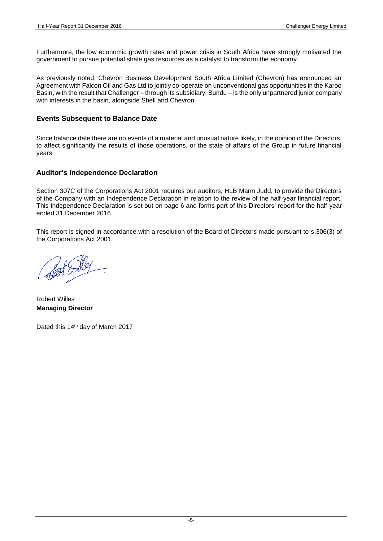Furthermore, the low economic growth rates and power crisis in South Africa have strongly motivated the government to pursue potential shale gas resources as a catalyst to transform the economy.

As previously noted, Chevron Business Development South Africa Limited (Chevron) has announced an Agreement with Falcon Oil and Gas Ltd to jointly co-operate on unconventional gas opportunities in the Karoo Basin, with the result that Challenger – through its subsidiary, Bundu – is the only unpartnered junior company with interests in the basin, alongside Shell and Chevron.

### **Events Subsequent to Balance Date**

Since balance date there are no events of a material and unusual nature likely, in the opinion of the Directors, to affect significantly the results of those operations, or the state of affairs of the Group in future financial years.

### **Auditor's Independence Declaration**

Section 307C of the Corporations Act 2001 requires our auditors, HLB Mann Judd, to provide the Directors of the Company with an Independence Declaration in relation to the review of the half-year financial report. This Independence Declaration is set out on page 6 and forms part of this Directors' report for the half-year ended 31 December 2016.

This report is signed in accordance with a resolution of the Board of Directors made pursuant to s.306(3) of the Corporations Act 2001.

Robert Willes **Managing Director**

Dated this 14<sup>th</sup> day of March 2017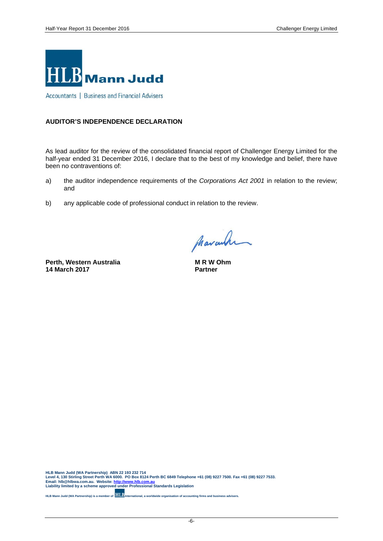

Accountants | Business and Financial Advisers

### **AUDITOR'S INDEPENDENCE DECLARATION**

As lead auditor for the review of the consolidated financial report of Challenger Energy Limited for the half-year ended 31 December 2016, I declare that to the best of my knowledge and belief, there have been no contraventions of:

- a) the auditor independence requirements of the *Corporations Act 2001* in relation to the review; and
- b) any applicable code of professional conduct in relation to the review.

**Perth, Western Australia 14 March 2017**

pharanha

**M R W Ohm Partner**

HLB Mann Judd (WA Partnership) ABN 22 193 232 714<br>Level 4, 130 Stirling Street Perth WA 6000. PO Box 8124 Perth BC 6849 Telephone +61 (08) 9227 7500. Fax +61 (08) 9227 7533.<br>Email: hIb@hlbwa.com.au. Website: <u>http://www</u>

**HLB Mann Judd (WA Partnership) is a member of <b>HLB** International, a worldwide organisation of accounting firms and business advisers

-6-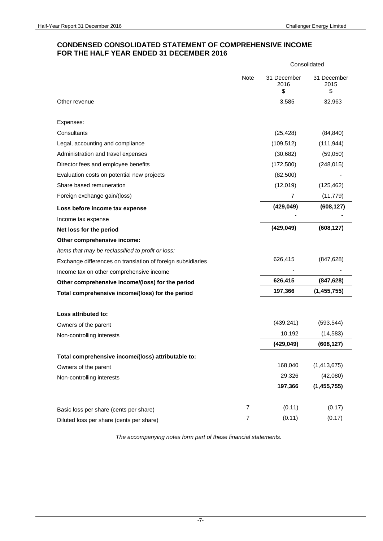### **CONDENSED CONSOLIDATED STATEMENT OF COMPREHENSIVE INCOME FOR THE HALF YEAR ENDED 31 DECEMBER 2016**

|                                                             |                | Consolidated              |                           |  |
|-------------------------------------------------------------|----------------|---------------------------|---------------------------|--|
|                                                             | Note           | 31 December<br>2016<br>\$ | 31 December<br>2015<br>\$ |  |
| Other revenue                                               |                | 3,585                     | 32,963                    |  |
| Expenses:                                                   |                |                           |                           |  |
| Consultants                                                 |                | (25, 428)                 | (84, 840)                 |  |
| Legal, accounting and compliance                            |                | (109, 512)                | (111, 944)                |  |
| Administration and travel expenses                          |                | (30, 682)                 | (59,050)                  |  |
| Director fees and employee benefits                         |                | (172,500)                 | (248, 015)                |  |
| Evaluation costs on potential new projects                  |                | (82,500)                  |                           |  |
| Share based remuneration                                    |                | (12,019)                  | (125, 462)                |  |
| Foreign exchange gain/(loss)                                |                | 7                         | (11, 779)                 |  |
| Loss before income tax expense                              |                | (429, 049)                | (608, 127)                |  |
| Income tax expense                                          |                |                           |                           |  |
| Net loss for the period                                     |                | (429, 049)                | (608, 127)                |  |
| Other comprehensive income:                                 |                |                           |                           |  |
| Items that may be reclassified to profit or loss:           |                |                           |                           |  |
| Exchange differences on translation of foreign subsidiaries |                | 626,415                   | (847, 628)                |  |
| Income tax on other comprehensive income                    |                |                           |                           |  |
| Other comprehensive income/(loss) for the period            |                | 626,415                   | (847, 628)                |  |
| Total comprehensive income/(loss) for the period            |                | 197,366                   | (1, 455, 755)             |  |
| Loss attributed to:                                         |                |                           |                           |  |
| Owners of the parent                                        |                | (439, 241)                | (593, 544)                |  |
| Non-controlling interests                                   |                | 10,192                    | (14, 583)                 |  |
|                                                             |                | (429, 049)                | (608, 127)                |  |
| Total comprehensive income/(loss) attributable to:          |                |                           |                           |  |
| Owners of the parent                                        |                | 168,040                   | (1, 413, 675)             |  |
| Non-controlling interests                                   |                | 29,326                    | (42,080)                  |  |
|                                                             |                | 197,366                   | (1, 455, 755)             |  |
|                                                             |                |                           |                           |  |
| Basic loss per share (cents per share)                      | $\overline{7}$ | (0.11)                    | (0.17)                    |  |
| Diluted loss per share (cents per share)                    | $\overline{7}$ | (0.11)                    | (0.17)                    |  |

*The accompanying notes form part of these financial statements.*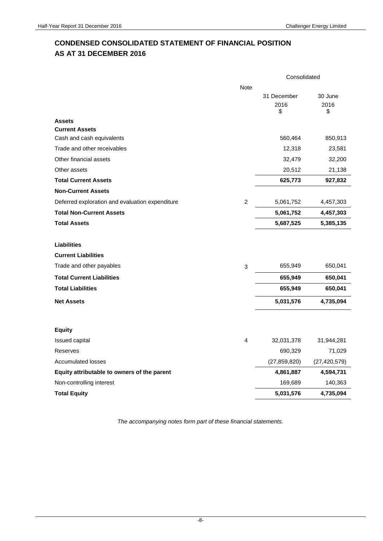# **CONDENSED CONSOLIDATED STATEMENT OF FINANCIAL POSITION AS AT 31 DECEMBER 2016**

|                                                    |                           | Consolidated              |                       |  |
|----------------------------------------------------|---------------------------|---------------------------|-----------------------|--|
|                                                    | <b>Note</b>               | 31 December<br>2016<br>\$ | 30 June<br>2016<br>\$ |  |
| <b>Assets</b>                                      |                           |                           |                       |  |
| <b>Current Assets</b><br>Cash and cash equivalents |                           | 560,464                   | 850,913               |  |
| Trade and other receivables                        |                           | 12,318                    | 23,581                |  |
| Other financial assets                             |                           | 32,479                    | 32,200                |  |
| Other assets                                       |                           | 20,512                    | 21,138                |  |
| <b>Total Current Assets</b>                        |                           | 625,773                   | 927,832               |  |
| <b>Non-Current Assets</b>                          |                           |                           |                       |  |
| Deferred exploration and evaluation expenditure    | 2                         | 5,061,752                 | 4,457,303             |  |
| <b>Total Non-Current Assets</b>                    |                           | 5,061,752                 | 4,457,303             |  |
| <b>Total Assets</b>                                |                           | 5,687,525                 | 5,385,135             |  |
| <b>Liabilities</b><br><b>Current Liabilities</b>   |                           |                           |                       |  |
| Trade and other payables                           | $\ensuremath{\mathsf{3}}$ | 655,949                   | 650,041               |  |
| <b>Total Current Liabilities</b>                   |                           | 655,949                   | 650,041               |  |
| <b>Total Liabilities</b>                           |                           | 655,949                   | 650,041               |  |
| <b>Net Assets</b>                                  |                           | 5,031,576                 | 4,735,094             |  |
|                                                    |                           |                           |                       |  |
| <b>Equity</b>                                      |                           |                           |                       |  |
| Issued capital                                     | 4                         | 32,031,378                | 31,944,281            |  |
| Reserves                                           |                           | 690,329                   | 71,029                |  |
| <b>Accumulated losses</b>                          |                           | (27, 859, 820)            | (27, 420, 579)        |  |
| Equity attributable to owners of the parent        |                           | 4,861,887                 | 4,594,731             |  |
| Non-controlling interest                           |                           | 169,689                   | 140,363               |  |
| <b>Total Equity</b>                                |                           | 5,031,576                 | 4,735,094             |  |

*The accompanying notes form part of these financial statements.*

-8-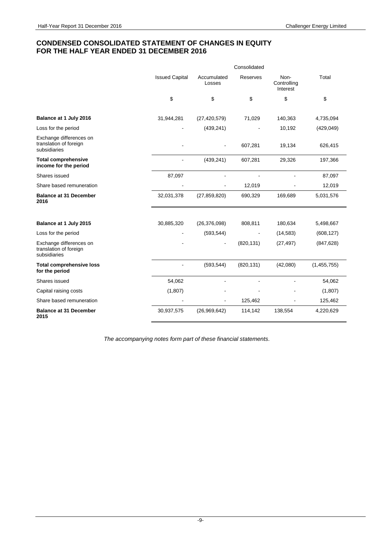### **CONDENSED CONSOLIDATED STATEMENT OF CHANGES IN EQUITY FOR THE HALF YEAR ENDED 31 DECEMBER 2016**

|                                                                   | Consolidated          |                       |            |                                 |             |
|-------------------------------------------------------------------|-----------------------|-----------------------|------------|---------------------------------|-------------|
|                                                                   | <b>Issued Capital</b> | Accumulated<br>Losses | Reserves   | Non-<br>Controlling<br>Interest | Total       |
|                                                                   | \$                    | \$                    | \$         | \$                              | \$          |
| Balance at 1 July 2016                                            | 31,944,281            | (27, 420, 579)        | 71,029     | 140,363                         | 4,735,094   |
| Loss for the period                                               |                       | (439, 241)            |            | 10,192                          | (429, 049)  |
| Exchange differences on<br>translation of foreign<br>subsidiaries |                       |                       | 607,281    | 19,134                          | 626,415     |
| <b>Total comprehensive</b><br>income for the period               |                       | (439, 241)            | 607,281    | 29,326                          | 197,366     |
| Shares issued                                                     | 87,097                | ä,                    |            |                                 | 87,097      |
| Share based remuneration                                          |                       |                       | 12,019     |                                 | 12,019      |
| <b>Balance at 31 December</b><br>2016                             | 32,031,378            | (27, 859, 820)        | 690,329    | 169,689                         | 5,031,576   |
|                                                                   |                       |                       |            |                                 |             |
| Balance at 1 July 2015                                            | 30,885,320            | (26, 376, 098)        | 808,811    | 180,634                         | 5,498,667   |
| Loss for the period                                               |                       | (593, 544)            |            | (14, 583)                       | (608, 127)  |
| Exchange differences on<br>translation of foreign<br>subsidiaries |                       |                       | (820, 131) | (27, 497)                       | (847, 628)  |
| <b>Total comprehensive loss</b><br>for the period                 |                       | (593, 544)            | (820, 131) | (42,080)                        | (1,455,755) |
| Shares issued                                                     | 54,062                |                       |            |                                 | 54,062      |
| Capital raising costs                                             | (1, 807)              |                       |            |                                 | (1,807)     |
| Share based remuneration                                          |                       |                       | 125,462    |                                 | 125,462     |
| <b>Balance at 31 December</b><br>2015                             | 30,937,575            | (26,969,642)          | 114,142    | 138,554                         | 4,220,629   |

*The accompanying notes form part of these financial statements.*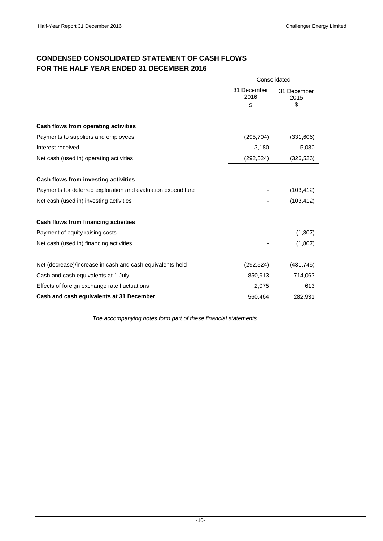## **CONDENSED CONSOLIDATED STATEMENT OF CASH FLOWS FOR THE HALF YEAR ENDED 31 DECEMBER 2016**

|                                                              | Consolidated        |                     |  |
|--------------------------------------------------------------|---------------------|---------------------|--|
|                                                              | 31 December<br>2016 | 31 December<br>2015 |  |
|                                                              | \$                  | \$                  |  |
| Cash flows from operating activities                         |                     |                     |  |
| Payments to suppliers and employees                          | (295, 704)          | (331,606)           |  |
| Interest received                                            | 3,180               | 5,080               |  |
| Net cash (used in) operating activities                      | (292, 524)          | (326, 526)          |  |
| Cash flows from investing activities                         |                     |                     |  |
| Payments for deferred exploration and evaluation expenditure |                     | (103, 412)          |  |
| Net cash (used in) investing activities                      |                     | (103, 412)          |  |
| Cash flows from financing activities                         |                     |                     |  |
| Payment of equity raising costs                              |                     | (1,807)             |  |
| Net cash (used in) financing activities                      |                     | (1,807)             |  |
| Net (decrease)/increase in cash and cash equivalents held    | (292, 524)          | (431, 745)          |  |
| Cash and cash equivalents at 1 July                          | 850,913             | 714,063             |  |
| Effects of foreign exchange rate fluctuations                | 2,075               | 613                 |  |
| Cash and cash equivalents at 31 December                     | 560,464             | 282,931             |  |

*The accompanying notes form part of these financial statements.*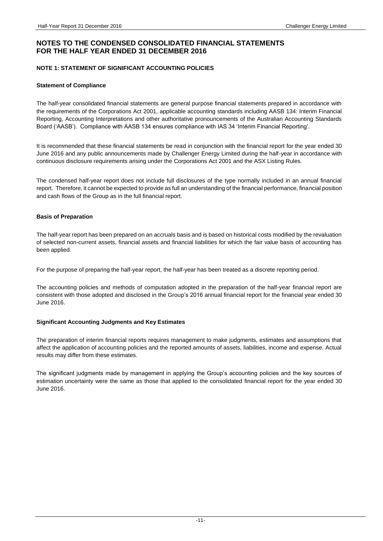### **NOTE 1: STATEMENT OF SIGNIFICANT ACCOUNTING POLICIES**

#### **Statement of Compliance**

The half-year consolidated financial statements are general purpose financial statements prepared in accordance with the requirements of the Corporations Act 2001, applicable accounting standards including AASB 134: Interim Financial Reporting, Accounting Interpretations and other authoritative pronouncements of the Australian Accounting Standards Board ('AASB'). Compliance with AASB 134 ensures compliance with IAS 34 'Interim Financial Reporting'.

It is recommended that these financial statements be read in conjunction with the financial report for the year ended 30 June 2016 and any public announcements made by Challenger Energy Limited during the half-year in accordance with continuous disclosure requirements arising under the Corporations Act 2001 and the ASX Listing Rules.

The condensed half-year report does not include full disclosures of the type normally included in an annual financial report. Therefore, it cannot be expected to provide as full an understanding of the financial performance, financial position and cash flows of the Group as in the full financial report.

#### **Basis of Preparation**

The half-year report has been prepared on an accruals basis and is based on historical costs modified by the revaluation of selected non-current assets, financial assets and financial liabilities for which the fair value basis of accounting has been applied.

For the purpose of preparing the half-year report, the half-year has been treated as a discrete reporting period.

The accounting policies and methods of computation adopted in the preparation of the half-year financial report are consistent with those adopted and disclosed in the Group's 2016 annual financial report for the financial year ended 30 June 2016.

### **Significant Accounting Judgments and Key Estimates**

The preparation of interim financial reports requires management to make judgments, estimates and assumptions that affect the application of accounting policies and the reported amounts of assets, liabilities, income and expense. Actual results may differ from these estimates.

The significant judgments made by management in applying the Group's accounting policies and the key sources of estimation uncertainty were the same as those that applied to the consolidated financial report for the year ended 30 June 2016.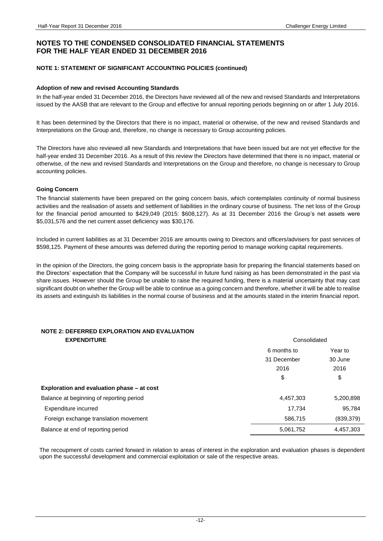### **NOTE 1: STATEMENT OF SIGNIFICANT ACCOUNTING POLICIES (continued)**

#### **Adoption of new and revised Accounting Standards**

In the half-year ended 31 December 2016, the Directors have reviewed all of the new and revised Standards and Interpretations issued by the AASB that are relevant to the Group and effective for annual reporting periods beginning on or after 1 July 2016.

It has been determined by the Directors that there is no impact, material or otherwise, of the new and revised Standards and Interpretations on the Group and, therefore, no change is necessary to Group accounting policies.

The Directors have also reviewed all new Standards and Interpretations that have been issued but are not yet effective for the half-year ended 31 December 2016. As a result of this review the Directors have determined that there is no impact, material or otherwise, of the new and revised Standards and Interpretations on the Group and therefore, no change is necessary to Group accounting policies.

#### **Going Concern**

The financial statements have been prepared on the going concern basis, which contemplates continuity of normal business activities and the realisation of assets and settlement of liabilities in the ordinary course of business. The net loss of the Group for the financial period amounted to \$429,049 (2015: \$608,127). As at 31 December 2016 the Group's net assets were \$5,031,576 and the net current asset deficiency was \$30,176.

Included in current liabilities as at 31 December 2016 are amounts owing to Directors and officers/advisers for past services of \$598,125. Payment of these amounts was deferred during the reporting period to manage working capital requirements.

In the opinion of the Directors, the going concern basis is the appropriate basis for preparing the financial statements based on the Directors' expectation that the Company will be successful in future fund raising as has been demonstrated in the past via share issues. However should the Group be unable to raise the required funding, there is a material uncertainty that may cast significant doubt on whether the Group will be able to continue as a going concern and therefore, whether it will be able to realise its assets and extinguish its liabilities in the normal course of business and at the amounts stated in the interim financial report.

# **NOTE 2: DEFERRED EXPLORATION AND EVALUATION**

| <b>EXPENDITURE</b>                         | Consolidated |            |
|--------------------------------------------|--------------|------------|
|                                            | 6 months to  | Year to    |
|                                            | 31 December  | 30 June    |
|                                            | 2016         | 2016       |
|                                            | \$           | \$         |
| Exploration and evaluation phase - at cost |              |            |
| Balance at beginning of reporting period   | 4,457,303    | 5,200,898  |
| Expenditure incurred                       | 17,734       | 95,784     |
| Foreign exchange translation movement      | 586,715      | (839, 379) |
| Balance at end of reporting period         | 5,061,752    | 4,457,303  |

The recoupment of costs carried forward in relation to areas of interest in the exploration and evaluation phases is dependent upon the successful development and commercial exploitation or sale of the respective areas.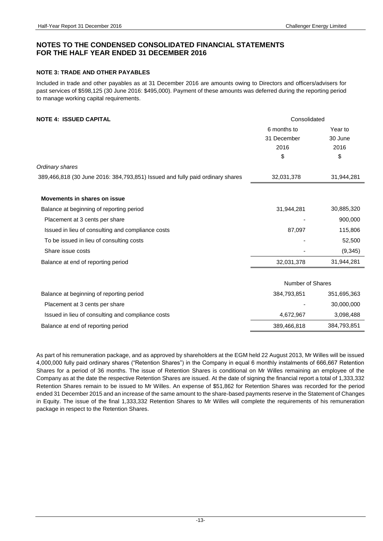### **NOTE 3: TRADE AND OTHER PAYABLES**

Included in trade and other payables as at 31 December 2016 are amounts owing to Directors and officers/advisers for past services of \$598,125 (30 June 2016: \$495,000). Payment of these amounts was deferred during the reporting period to manage working capital requirements.

### **NOTE 4: ISSUED CAPITAL CONSEXUATE ASSUED CONSTANT CONSOLIDATE ASSUED CONSOLIDATE ASSUED CONSOLIDATE ASSUED CONSOLIDATE ASSUED CONSOLIDATE ASSUED CONSOLIDATE ASSUED CONSOLIDATE ASSUED CONSOLIDATE ASSUED CONSOLIDATE ASSUED**

|                                                                               | 6 months to<br>31 December<br>2016<br>\$ | Year to<br>30 June<br>2016<br>\$ |
|-------------------------------------------------------------------------------|------------------------------------------|----------------------------------|
| Ordinary shares                                                               |                                          |                                  |
| 389,466,818 (30 June 2016: 384,793,851) Issued and fully paid ordinary shares | 32,031,378                               | 31,944,281                       |
| Movements in shares on issue                                                  |                                          |                                  |
| Balance at beginning of reporting period                                      | 31,944,281                               | 30,885,320                       |
| Placement at 3 cents per share                                                |                                          | 900,000                          |
| Issued in lieu of consulting and compliance costs                             | 87,097                                   | 115,806                          |
| To be issued in lieu of consulting costs                                      |                                          | 52,500                           |
| Share issue costs                                                             |                                          | (9, 345)                         |
| Balance at end of reporting period                                            | 32,031,378                               | 31,944,281                       |
|                                                                               | Number of Shares                         |                                  |
| Balance at beginning of reporting period                                      | 384,793,851                              | 351,695,363                      |
| Placement at 3 cents per share                                                |                                          | 30,000,000                       |
| Issued in lieu of consulting and compliance costs                             | 4,672,967                                | 3,098,488                        |
| Balance at end of reporting period                                            | 389,466,818                              | 384,793,851                      |

As part of his remuneration package, and as approved by shareholders at the EGM held 22 August 2013, Mr Willes will be issued 4,000,000 fully paid ordinary shares ("Retention Shares") in the Company in equal 6 monthly instalments of 666,667 Retention Shares for a period of 36 months. The issue of Retention Shares is conditional on Mr Willes remaining an employee of the Company as at the date the respective Retention Shares are issued. At the date of signing the financial report a total of 1,333,332 Retention Shares remain to be issued to Mr Willes. An expense of \$51,862 for Retention Shares was recorded for the period ended 31 December 2015 and an increase of the same amount to the share-based payments reserve in the Statement of Changes in Equity. The issue of the final 1,333,332 Retention Shares to Mr Willes will complete the requirements of his remuneration package in respect to the Retention Shares.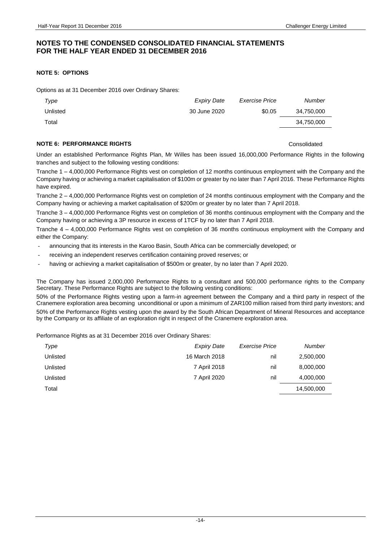### **NOTE 5: OPTIONS**

Options as at 31 December 2016 over Ordinary Shares:

| Type     | <b>Expiry Date</b> | Exercise Price | Number     |
|----------|--------------------|----------------|------------|
| Unlisted | 30 June 2020       | \$0.05         | 34,750,000 |
| Total    |                    |                | 34,750,000 |

#### **NOTE 6: PERFORMANCE RIGHTS CONSOLIDATE ASSESSMENT CONSOLIDATE OF A SET AND RESIDENCE ASSESSMENT CONSOLIDATE OF A SET AND RESIDENCE ASSESSMENT CONSOLIDATE OF A SET AND RESIDENCE ASSESSMENT CONSOLIDATE OF A SET AND RESIDE**

Under an established Performance Rights Plan, Mr Willes has been issued 16,000,000 Performance Rights in the following tranches and subject to the following vesting conditions:

Tranche 1 – 4,000,000 Performance Rights vest on completion of 12 months continuous employment with the Company and the Company having or achieving a market capitalisation of \$100m or greater by no later than 7 April 2016. These Performance Rights have expired.

Tranche 2 – 4,000,000 Performance Rights vest on completion of 24 months continuous employment with the Company and the Company having or achieving a market capitalisation of \$200m or greater by no later than 7 April 2018.

Tranche 3 – 4,000,000 Performance Rights vest on completion of 36 months continuous employment with the Company and the Company having or achieving a 3P resource in excess of 1TCF by no later than 7 April 2018.

Tranche 4 – 4,000,000 Performance Rights vest on completion of 36 months continuous employment with the Company and either the Company:

- announcing that its interests in the Karoo Basin, South Africa can be commercially developed; or
- receiving an independent reserves certification containing proved reserves; or
- having or achieving a market capitalisation of \$500m or greater, by no later than 7 April 2020.

The Company has issued 2,000,000 Performance Rights to a consultant and 500,000 performance rights to the Company Secretary. These Performance Rights are subject to the following vesting conditions:

50% of the Performance Rights vesting upon a farm-in agreement between the Company and a third party in respect of the Cranemere exploration area becoming unconditional or upon a minimum of ZAR100 million raised from third party investors; and 50% of the Performance Rights vesting upon the award by the South African Department of Mineral Resources and acceptance by the Company or its affiliate of an exploration right in respect of the Cranemere exploration area.

Performance Rights as at 31 December 2016 over Ordinary Shares:

| Type     | <b>Expiry Date</b> | <b>Exercise Price</b> | Number     |
|----------|--------------------|-----------------------|------------|
| Unlisted | 16 March 2018      | nil                   | 2,500,000  |
| Unlisted | 7 April 2018       | nil                   | 8,000,000  |
| Unlisted | 7 April 2020       | nil                   | 4,000,000  |
| Total    |                    |                       | 14,500,000 |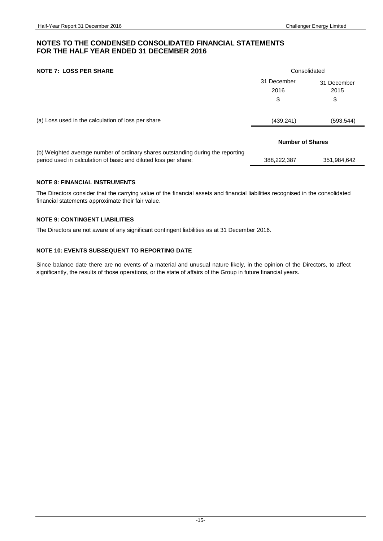### **NOTE 7: LOSS PER SHARE** Consolidated

|                                                                                                                                                    | 31 December<br>2016     | 31 December<br>2015 |
|----------------------------------------------------------------------------------------------------------------------------------------------------|-------------------------|---------------------|
|                                                                                                                                                    | \$                      | \$                  |
| (a) Loss used in the calculation of loss per share                                                                                                 | (439, 241)              | (593, 544)          |
|                                                                                                                                                    | <b>Number of Shares</b> |                     |
| (b) Weighted average number of ordinary shares outstanding during the reporting<br>period used in calculation of basic and diluted loss per share: | 388,222,387             | 351,984,642         |

### **NOTE 8: FINANCIAL INSTRUMENTS**

The Directors consider that the carrying value of the financial assets and financial liabilities recognised in the consolidated financial statements approximate their fair value.

### **NOTE 9: CONTINGENT LIABILITIES**

The Directors are not aware of any significant contingent liabilities as at 31 December 2016.

### **NOTE 10: EVENTS SUBSEQUENT TO REPORTING DATE**

Since balance date there are no events of a material and unusual nature likely, in the opinion of the Directors, to affect significantly, the results of those operations, or the state of affairs of the Group in future financial years.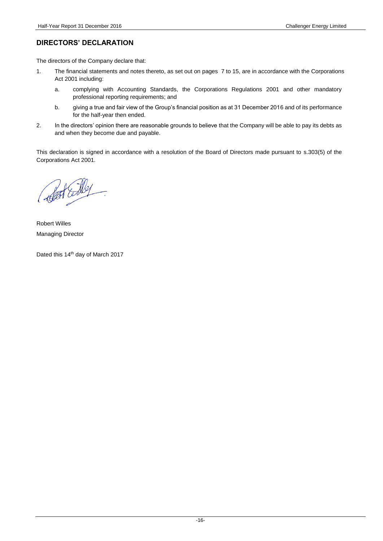### **DIRECTORS' DECLARATION**

The directors of the Company declare that:

- 1. The financial statements and notes thereto, as set out on pages 7 to 15, are in accordance with the Corporations Act 2001 including:
	- a. complying with Accounting Standards, the Corporations Regulations 2001 and other mandatory professional reporting requirements; and
	- b. giving a true and fair view of the Group's financial position as at 31 December 2016 and of its performance for the half-year then ended.
- 2. In the directors' opinion there are reasonable grounds to believe that the Company will be able to pay its debts as and when they become due and payable.

This declaration is signed in accordance with a resolution of the Board of Directors made pursuant to s.303(5) of the Corporations Act 2001.

Robert Willes Managing Director

Dated this 14<sup>th</sup> day of March 2017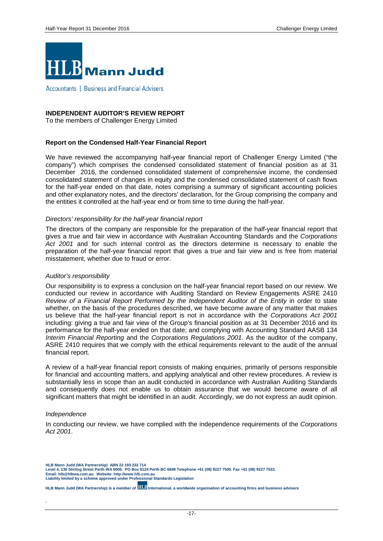

Accountants | Business and Financial Advisers

### **INDEPENDENT AUDITOR'S REVIEW REPORT**

To the members of Challenger Energy Limited

#### **Report on the Condensed Half-Year Financial Report**

We have reviewed the accompanying half-year financial report of Challenger Energy Limited ("the company") which comprises the condensed consolidated statement of financial position as at 31 December 2016, the condensed consolidated statement of comprehensive income, the condensed consolidated statement of changes in equity and the condensed consolidated statement of cash flows for the half-year ended on that date, notes comprising a summary of significant accounting policies and other explanatory notes, and the directors' declaration, for the Group comprising the company and the entities it controlled at the half-year end or from time to time during the half-year.

#### *Directors' responsibility for the half-year financial report*

The directors of the company are responsible for the preparation of the half-year financial report that gives a true and fair view in accordance with Australian Accounting Standards and the *Corporations Act 2001* and for such internal control as the directors determine is necessary to enable the preparation of the half-year financial report that gives a true and fair view and is free from material misstatement, whether due to fraud or error.

#### *Auditor's responsibility*

Our responsibility is to express a conclusion on the half-year financial report based on our review. We conducted our review in accordance with Auditing Standard on Review Engagements ASRE 2410 *Review of a Financial Report Performed by the Independent Auditor of the Entity* in order to state whether, on the basis of the procedures described, we have become aware of any matter that makes us believe that the half-year financial report is not in accordance with the *Corporations Act 2001*  including: giving a true and fair view of the Group's financial position as at 31 December 2016 and its performance for the half-year ended on that date; and complying with Accounting Standard AASB 134 *Interim Financial Reporting* and the *Corporations Regulations 2001*. As the auditor of the company, ASRE 2410 requires that we comply with the ethical requirements relevant to the audit of the annual financial report.

A review of a half-year financial report consists of making enquiries, primarily of persons responsible for financial and accounting matters, and applying analytical and other review procedures. A review is substantially less in scope than an audit conducted in accordance with Australian Auditing Standards and consequently does not enable us to obtain assurance that we would become aware of all significant matters that might be identified in an audit. Accordingly, we do not express an audit opinion.

#### *Independence*

**.** 

In conducting our review, we have complied with the independence requirements of the *Corporations Act 2001*.

**HLB Mann Judd (WA Partnership) ABN 22 193 232 714** 

**HLB Mann Judd (WA Partnership) is a member of <b>HLB** International, a worldwide organisation of accounting firms and business advisers

Level 4, 130 Stirling Street Perth WA 6000. PO Box 8124 Perth BC 6849 Telephone +61 (08) 9227 7500. Fax +61 (08) 9227 7533.<br>Email: hIb@hlbwa.com.au. Website: http://www.hlb.com.au<br>Liability limited by a scheme approved